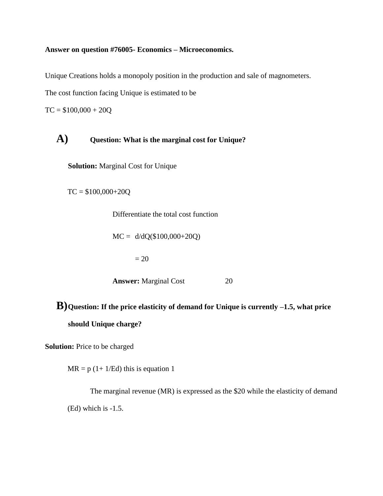## **Answer on question #76005- Economics – Microeconomics.**

Unique Creations holds a monopoly position in the production and sale of magnometers.

The cost function facing Unique is estimated to be

 $TC = $100,000 + 20Q$ 

## **A) Question: What is the marginal cost for Unique?**

**Solution:** Marginal Cost for Unique

 $TC = $100,000+20Q$ 

Differentiate the total cost function

 $MC = d/dQ(\$100,000+20Q)$ 

 $= 20$ 

**Answer:** Marginal Cost 20

**B)Question: If the price elasticity of demand for Unique is currently –1.5, what price should Unique charge?**

**Solution:** Price to be charged

 $MR = p (1 + 1/Ed)$  this is equation 1

The marginal revenue (MR) is expressed as the \$20 while the elasticity of demand (Ed) which is -1.5.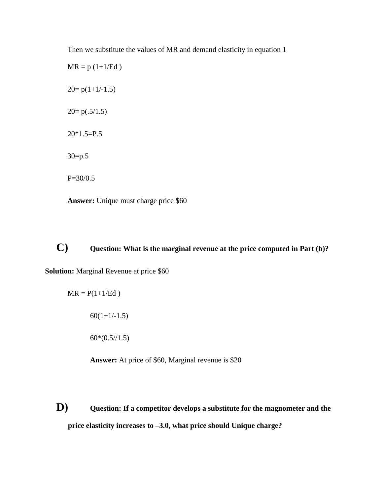Then we substitute the values of MR and demand elasticity in equation 1

 $MR = p (1+1/Ed)$  $20=p(1+1/-1.5)$  $20=p(.5/1.5)$  $20*1.5=P.5$ 30=p.5 P=30/0.5

**Answer:** Unique must charge price \$60

## **C) Question: What is the marginal revenue at the price computed in Part (b)?**

**Solution:** Marginal Revenue at price \$60

$$
MR = P(1+1/Ed)
$$

 $60(1+1/-1.5)$ 

 $60*(0.5/1.5)$ 

**Answer:** At price of \$60, Marginal revenue is \$20

**D) Question: If a competitor develops a substitute for the magnometer and the price elasticity increases to –3.0, what price should Unique charge?**